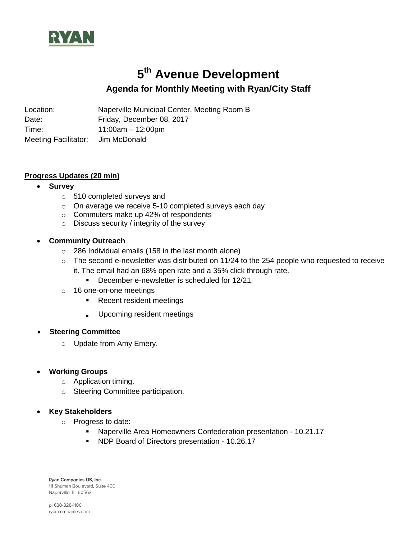

# **5 th Avenue Development**

# **Agenda for Monthly Meeting with Ryan/City Staff**

Location: Naperville Municipal Center, Meeting Room B Date: Friday, December 08, 2017 Time: 11:00am – 12:00pm Meeting Facilitator: Jim McDonald

# **Progress Updates (20 min)**

# **Survey**

- o 510 completed surveys and
- o On average we receive 5-10 completed surveys each day
- o Commuters make up 42% of respondents
- o Discuss security / integrity of the survey
- **Community Outreach**
	- o 286 Individual emails (158 in the last month alone)
	- $\circ$  The second e-newsletter was distributed on 11/24 to the 254 people who requested to receive it. The email had an 68% open rate and a 35% click through rate.
		- December e-newsletter is scheduled for 12/21.
	- o 16 one-on-one meetings
		- **Recent resident meetings**
		- **Upcoming resident meetings**

#### **Steering Committee**

o Update from Amy Emery.

# **Working Groups**

- o Application timing.
- o Steering Committee participation.

#### **Key Stakeholders**

- o Progress to date:
	- Naperville Area Homeowners Confederation presentation 10.21.17
	- **NDP Board of Directors presentation 10.26.17**

Ryan Companies US, Inc. 111 Shuman Boulevard, Suite 400 Naperville, IL 60563

p: 630-328-1100 ryancompanies.com